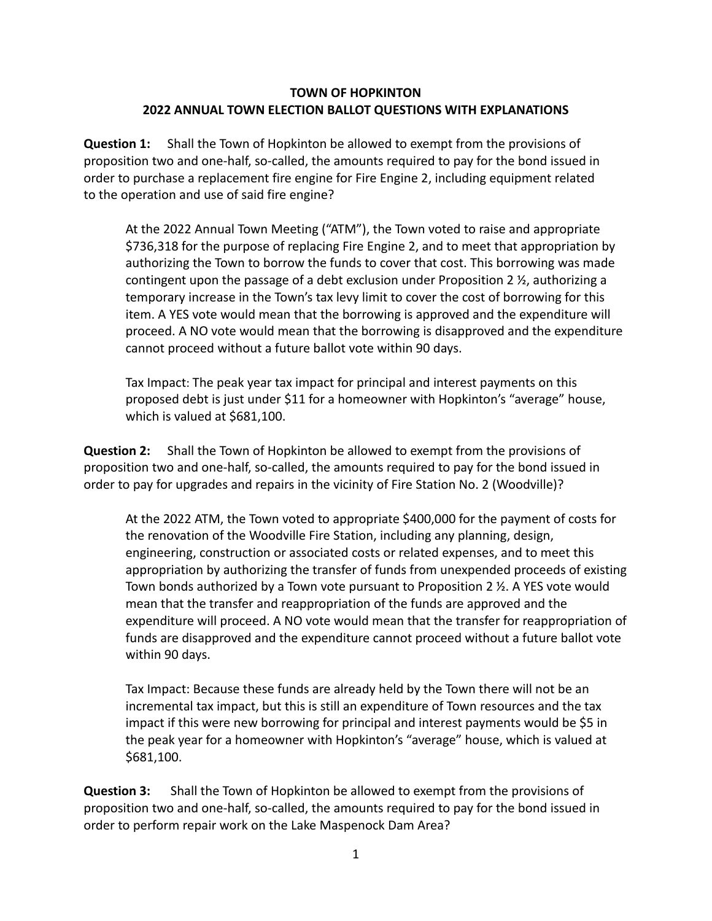## **TOWN OF HOPKINTON 2022 ANNUAL TOWN ELECTION BALLOT QUESTIONS WITH EXPLANATIONS**

**Question 1:** Shall the Town of Hopkinton be allowed to exempt from the provisions of proposition two and one-half, so-called, the amounts required to pay for the bond issued in order to purchase a replacement fire engine for Fire Engine 2, including equipment related to the operation and use of said fire engine?

At the 2022 Annual Town Meeting ("ATM"), the Town voted to raise and appropriate \$736,318 for the purpose of replacing Fire Engine 2, and to meet that appropriation by authorizing the Town to borrow the funds to cover that cost. This borrowing was made contingent upon the passage of a debt exclusion under Proposition 2  $\frac{1}{2}$ , authorizing a temporary increase in the Town's tax levy limit to cover the cost of borrowing for this item. A YES vote would mean that the borrowing is approved and the expenditure will proceed. A NO vote would mean that the borrowing is disapproved and the expenditure cannot proceed without a future ballot vote within 90 days.

Tax Impact: The peak year tax impact for principal and interest payments on this proposed debt is just under \$11 for a homeowner with Hopkinton's "average" house, which is valued at \$681,100.

**Question 2:** Shall the Town of Hopkinton be allowed to exempt from the provisions of proposition two and one-half, so-called, the amounts required to pay for the bond issued in order to pay for upgrades and repairs in the vicinity of Fire Station No. 2 (Woodville)?

At the 2022 ATM, the Town voted to appropriate \$400,000 for the payment of costs for the renovation of the Woodville Fire Station, including any planning, design, engineering, construction or associated costs or related expenses, and to meet this appropriation by authorizing the transfer of funds from unexpended proceeds of existing Town bonds authorized by a Town vote pursuant to Proposition 2  $\frac{1}{2}$ . A YES vote would mean that the transfer and reappropriation of the funds are approved and the expenditure will proceed. A NO vote would mean that the transfer for reappropriation of funds are disapproved and the expenditure cannot proceed without a future ballot vote within 90 days.

Tax Impact: Because these funds are already held by the Town there will not be an incremental tax impact, but this is still an expenditure of Town resources and the tax impact if this were new borrowing for principal and interest payments would be \$5 in the peak year for a homeowner with Hopkinton's "average" house, which is valued at \$681,100.

**Question 3:** Shall the Town of Hopkinton be allowed to exempt from the provisions of proposition two and one-half, so-called, the amounts required to pay for the bond issued in order to perform repair work on the Lake Maspenock Dam Area?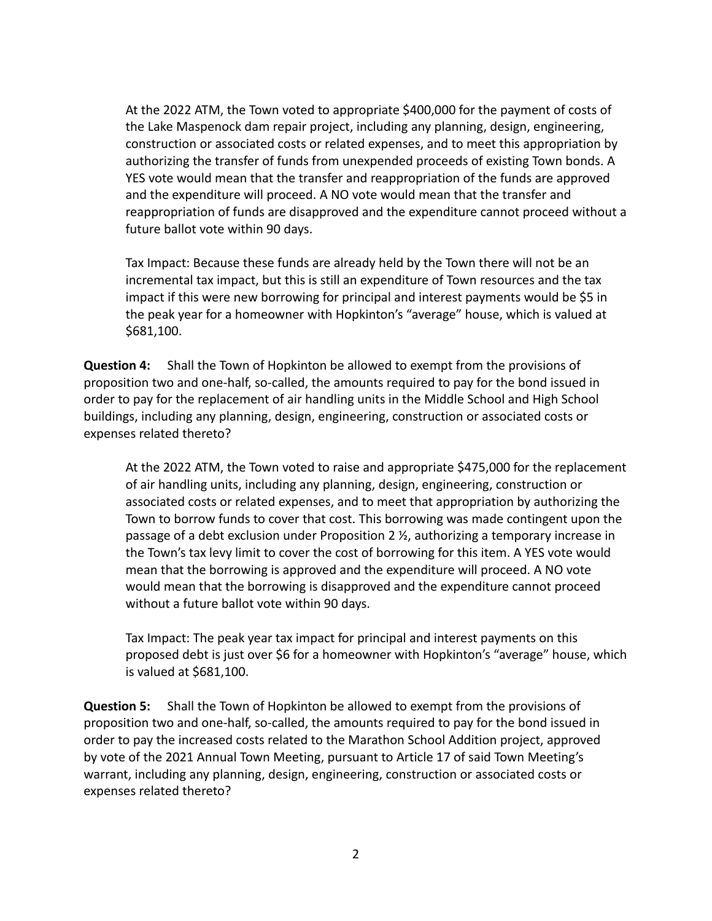At the 2022 ATM, the Town voted to appropriate \$400,000 for the payment of costs of the Lake Maspenock dam repair project, including any planning, design, engineering, construction or associated costs or related expenses, and to meet this appropriation by authorizing the transfer of funds from unexpended proceeds of existing Town bonds. A YES vote would mean that the transfer and reappropriation of the funds are approved and the expenditure will proceed. A NO vote would mean that the transfer and reappropriation of funds are disapproved and the expenditure cannot proceed without a future ballot vote within 90 days.

Tax Impact: Because these funds are already held by the Town there will not be an incremental tax impact, but this is still an expenditure of Town resources and the tax impact if this were new borrowing for principal and interest payments would be \$5 in the peak year for a homeowner with Hopkinton's "average" house, which is valued at \$681,100.

**Question 4:** Shall the Town of Hopkinton be allowed to exempt from the provisions of proposition two and one-half, so-called, the amounts required to pay for the bond issued in order to pay for the replacement of air handling units in the Middle School and High School buildings, including any planning, design, engineering, construction or associated costs or expenses related thereto?

At the 2022 ATM, the Town voted to raise and appropriate \$475,000 for the replacement of air handling units, including any planning, design, engineering, construction or associated costs or related expenses, and to meet that appropriation by authorizing the Town to borrow funds to cover that cost. This borrowing was made contingent upon the passage of a debt exclusion under Proposition 2 ½, authorizing a temporary increase in the Town's tax levy limit to cover the cost of borrowing for this item. A YES vote would mean that the borrowing is approved and the expenditure will proceed. A NO vote would mean that the borrowing is disapproved and the expenditure cannot proceed without a future ballot vote within 90 days.

Tax Impact: The peak year tax impact for principal and interest payments on this proposed debt is just over \$6 for a homeowner with Hopkinton's "average" house, which is valued at \$681,100.

**Question 5:** Shall the Town of Hopkinton be allowed to exempt from the provisions of proposition two and one-half, so-called, the amounts required to pay for the bond issued in order to pay the increased costs related to the Marathon School Addition project, approved by vote of the 2021 Annual Town Meeting, pursuant to Article 17 of said Town Meeting's warrant, including any planning, design, engineering, construction or associated costs or expenses related thereto?